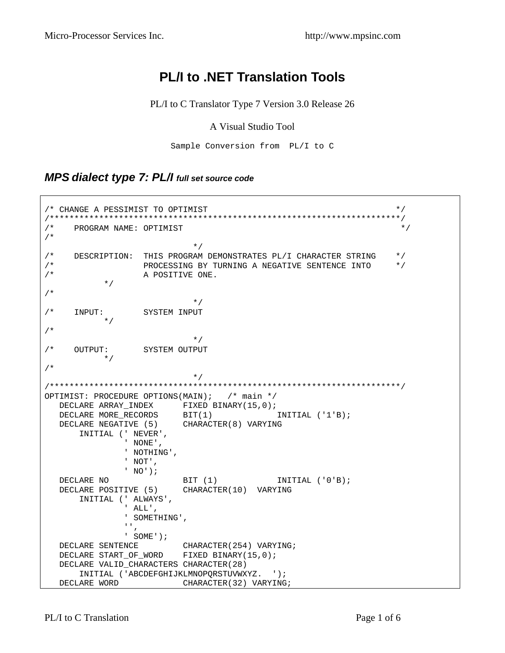# **PL/I to .NET Translation Tools**

PL/I to C Translator Type 7 Version 3.0 Release 26

#### A Visual Studio Tool

Sample Conversion from PL/I to C

#### *MPS dialect type 7: PL/I full set source code*

```
/* CHANGE A PESSIMIST TO OPTIMIST */ 
/***********************************************************************/ 
/* PROGRAM NAME: OPTIMIST */ 
/* 
\star//* DESCRIPTION: THIS PROGRAM DEMONSTRATES PL/I CHARACTER STRING */ 
/* PROCESSING BY TURNING A NEGATIVE SENTENCE INTO */ 
/* A POSITIVE ONE. 
          */ 
/* 
\star//* INPUT: SYSTEM INPUT 
     \star /
/* 
\star//* OUTPUT: SYSTEM OUTPUT 
          */ 
/* 
\star//***********************************************************************/ 
OPTIMIST: PROCEDURE OPTIONS(MAIN); /* main */ 
 DECLARE ARRAY_INDEX FIXED BINARY(15,0);
DECLARE MORE_RECORDS BIT(1) INITIAL ('1'B);
 DECLARE NEGATIVE (5) CHARACTER(8) VARYING 
      INITIAL (' NEVER', 
             ' NONE', 
             ' NOTHING', 
              ' NOT', 
             ' NO'); 
  DECLARE NO BIT (1) INITIAL ('0'B);
   DECLARE POSITIVE (5) CHARACTER(10) VARYING 
      INITIAL (' ALWAYS', 
              ' ALL', 
              ' SOMETHING', 
             ^{\rm 1.1} , ^{\rm 1.1} ' SOME'); 
  DECLARE SENTENCE CHARACTER(254) VARYING;
  DECLARE START OF WORD FIXED BINARY(15,0);
   DECLARE VALID_CHARACTERS CHARACTER(28) 
   INITIAL ('ABCDEFGHIJKLMNOPQRSTUVWXYZ. '); 
               CHARACTER(32) VARYING;
```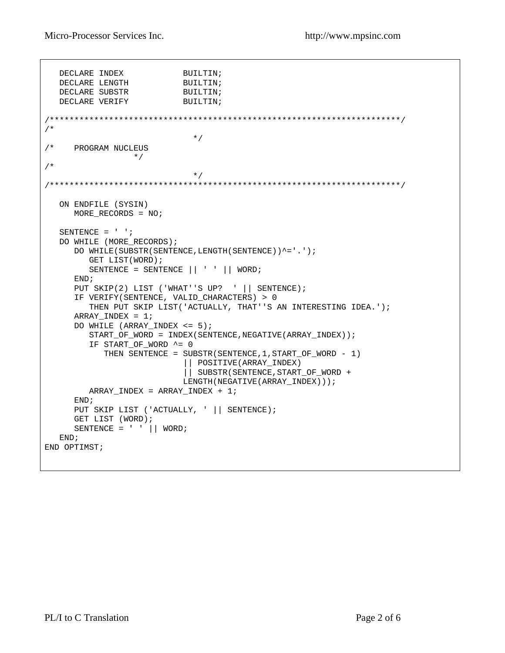Micro-Processor Services Inc. http://www.mpsinc.com

```
DECLARE INDEX BUILTIN;
DECLARE LENGTH BUILTIN;
DECLARE SUBSTR BUILTIN;
DECLARE VERIFY BUILTIN;
/***********************************************************************/ 
/* 
\star//* PROGRAM NUCLEUS 
              */
/* 
\star//***********************************************************************/ 
   ON ENDFILE (SYSIN) 
      MORE_RECORDS = NO; 
  SENTENCE = ' ';
  DO WHILE (MORE RECORDS);
     DO WHILE(SUBSTR(SENTENCE, LENGTH(SENTENCE))^='.');
         GET LIST(WORD); 
         SENTENCE = SENTENCE || ' ' || WORD; 
      END; 
      PUT SKIP(2) LIST ('WHAT''S UP? ' || SENTENCE); 
      IF VERIFY(SENTENCE, VALID_CHARACTERS) > 0 
         THEN PUT SKIP LIST('ACTUALLY, THAT''S AN INTERESTING IDEA.'); 
      ARRAY_INDEX = 1; 
      DO WHILE (ARRAY_INDEX <= 5); 
        START_OF_WORD = INDEX(SENTENCE,NEGATIVE(ARRAY_INDEX));
        IF START OF WORD ^{\wedge} = 0
            THEN SENTENCE = SUBSTR(SENTENCE,1,START_OF_WORD - 1) 
                           || POSITIVE(ARRAY_INDEX) 
                           || SUBSTR(SENTENCE,START_OF_WORD + 
                          LENGTH(NEGATIVE(ARRAY_INDEX)));
         ARRAY_INDEX = ARRAY_INDEX + 1; 
      END; 
     PUT SKIP LIST ('ACTUALLY, ' || SENTENCE);
      GET LIST (WORD); 
     SENTENCE = ' || WORD;
   END; 
END OPTIMST;
```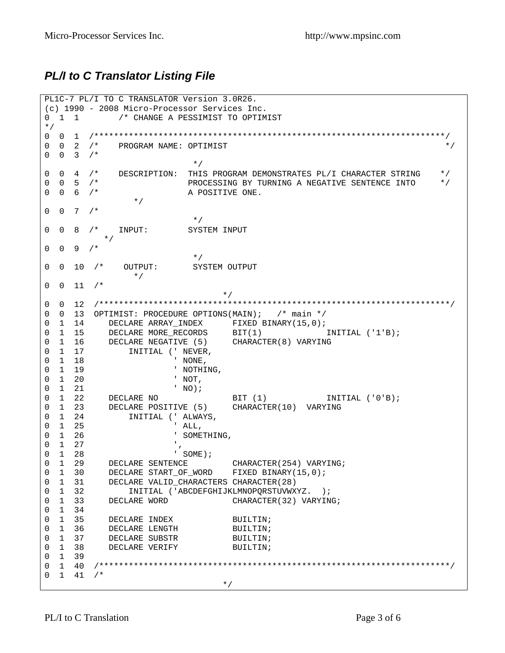## *PL/I to C Translator Listing File*

```
PL1C-7 PL/I TO C TRANSLATOR Version 3.0R26. 
(c) 1990 - 2008 Micro-Processor Services Inc. 
0 1 1 \prime /* CHANGE A PESSIMIST TO OPTIMIST
*/ 
0 0 1 /***********************************************************************/ 
0 0 2 /* PROGRAM NAME: OPTIMIST \binom{1}{k}0 \t 0 \t 3 \t /\t *\star/0 0 4 /* DESCRIPTION: THIS PROGRAM DEMONSTRATES PL/I CHARACTER STRING */ 
0 0 5 /* PROCESSING BY TURNING A NEGATIVE SENTENCE INTO */ 
0 0 6 /* A POSITIVE ONE.
             */
0 \t 0 \t 7 \t\star/0 0 8 /* INPUT: SYSTEM INPUT
         */ 
0 \t 0 \t 9 \t 1\star/0 0 10 /* OUTPUT: SYSTEM OUTPUT
             */
0 \t 0 \t 11 /*
\star/0 0 12 /***********************************************************************/ 
0 0 13 OPTIMIST: PROCEDURE OPTIONS(MAIN); /* main */ 
0 1 14 DECLARE ARRAY_INDEX FIXED BINARY(15,0);
0 1 15 DECLARE MORE_RECORDS BIT(1) INITIAL ('1'B);
0 1 16 DECLARE NEGATIVE (5) CHARACTER(8) VARYING
0 1 17 INITIAL (' NEVER, 
0 1 18 ' NONE,
0 1 19 ' NOTHING,
0 1 20 ' NOT,
0 1 21 ' NO);
0 1 22 DECLARE NO BIT (1) INITIAL ('0'B);
0 1 23 DECLARE POSITIVE (5) CHARACTER(10) VARYING 
0 1 24 INITIAL (' ALWAYS, 
0 1 25 ' ALL, 
0 1 26 ' SOMETHING,
0 1 27
0 1 28 ' SOME);
0 1 29 DECLARE SENTENCE CHARACTER(254) VARYING;
0 1 30 DECLARE START_OF_WORD FIXED BINARY(15,0);
0 1 31 DECLARE VALID_CHARACTERS CHARACTER(28) 
0 1 32 INITIAL ('ABCDEFGHIJKLMNOPQRSTUVWXYZ. ); 
0 1 33 DECLARE WORD CHARACTER(32) VARYING;
0 1 34 
0 1 35 DECLARE INDEX BUILTIN;
0 1 36 DECLARE LENGTH BUILTIN;
0 1 37 DECLARE SUBSTR BUILTIN;
0 1 38 DECLARE VERIFY BUILTIN;
0 1 39 
0 1 40 /***********************************************************************/ 
0 1 41 /** /
```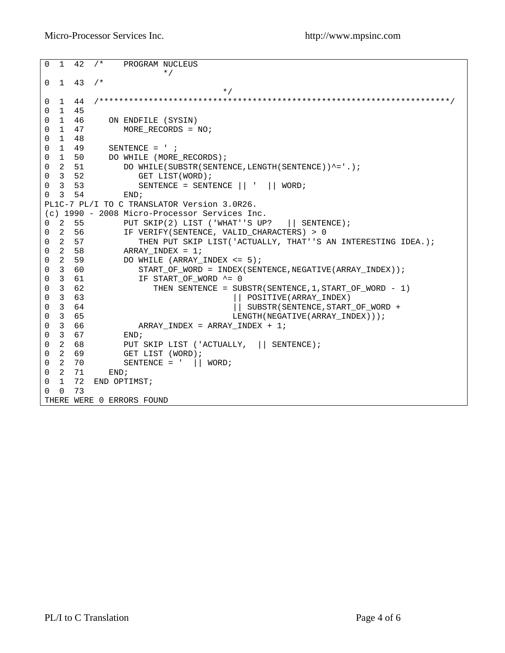```
0 1 42 /* PROGRAM NUCLEUS
 */
0 \quad 1 \quad 43 \quad /*\star/0 1 44 /***********************************************************************/ 
0 1 45<br>0 1 46
0 1 46 ON ENDFILE (SYSIN)<br>0 1 47 MORE_RECORDS = 1
              MORE\_RECORDS = NO;0 1 48 
0 1 49 SENTENCE = ' ;
0 1 50 DO WHILE (MORE_RECORDS);
0 2 51 DO WHILE(SUBSTR(SENTENCE, LENGTH(SENTENCE))^='.);
0 3 52 GET LIST(WORD);<br>0 3 53 SENTENCE = SENT
                     SENTENCE = SENTENCE || ' || WORK0 3 54 END;
PL1C-7 PL/I TO C TRANSLATOR Version 3.0R26. 
(c) 1990 - 2008 Micro-Processor Services Inc. 
0 2 55 PUT SKIP(2) LIST ('WHAT''S UP? || SENTENCE); 
0 2 56 IF VERIFY(SENTENCE, VALID CHARACTERS) > 0
0 2 57 THEN PUT SKIP LIST('ACTUALLY, THAT''S AN INTERESTING IDEA.); 
0 \quad 2 \quad 58 ARRAY_INDEX = 1;<br>0 \quad 2 \quad 59 DO WHILE (ARRAY
0 2 59 DO WHILE (ARRAY_INDEX <= 5);<br>0 3 60 START OF WORD = INDEX(SEN)
0 3 60 START_OF_WORD = INDEX(SENTENCE, NEGATIVE(ARRAY_INDEX));<br>0 3 61              IF START_OF_WORD ^= 0
                    IF START OF WORD ^{\wedge} = 0
0 3 62 THEN SENTENCE = SUBSTR(SENTENCE, 1, START_OF_WORD - 1)<br>0 3 63 |\cdot| POSITIVE(ARRAY_INDEX)
                                            || POSITIVE(ARRAY_INDEX)
0 3 64 \vert SUBSTR(SENTENCE, START_OF_WORD + \rbrack SUBSTR(SENTENCE, START_OF_WORD +
0 3 65 <br>0 3 66 <br>20 ARRAY INDEX = ARRAY INDEX + 1;
                 \begin{aligned} \text{ARRAY\_INDEX} \; = \; \text{ARRAY\_INDEX} \; + \; 1 \, ; \\ \text{END} \, ; \end{aligned}\begin{array}{ccc} 0 & 3 & 67 \\ 0 & 2 & 68 \end{array}0 2 68 PUT SKIP LIST ('ACTUALLY, || SENTENCE);<br>0 2 69 GET LIST (WORD);
0 2 69 GET LIST (WORD);
0 \quad 2 \quad 70 \quad SENTENCE = ' || WORD;
0 2 70 SI<br>0 2 71 END;
0 1 72 END OPTIMST; 
0 0 73 
THERE WERE 0 ERRORS FOUND
```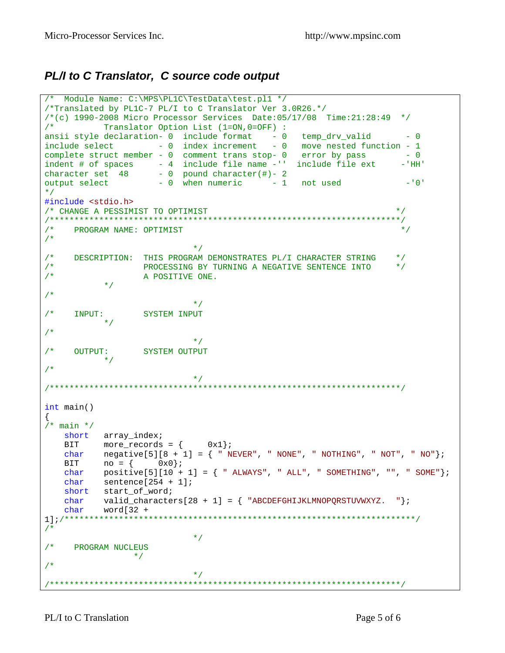### PL/I to C Translator, C source code output

```
/* Module Name: C:\MPS\PL1C\TestData\test.pl1 */
/*Translated by PL1C-7 PL/I to C Translator Ver 3.0R26.*/
/*(c) 1990-2008 Micro Processor Services Date:05/17/08 Time:21:28:49 */
/*
     Translator Option List (1=ON, 0=OFF) :
ansii style declaration- 0 include format - 0 temp_drv_valid - 0
include select -0 index increment - 0 move nested function - 1
complete struct member - 0 comment trans stop- 0 error by pass - 0
indent # of spaces -4 include file name -1 include file ext<br>character set 48 - 0 pound character(#) - 2<br>output select -0 when numeric -1 not used
                                                                - 'HH'
                                                                 -101\star /
#include <stdio.h>
/* CHANGE A PESSIMIST TO OPTIMIST
                                                                \star /
/*
                                                                 \star /
    PROGRAM NAME: OPTIMIST
/*
                          \star /
/* DESCRIPTION: THIS PROGRAM DEMONSTRATES PL/I CHARACTER STRING
                                                                * /
/*
      PROCESSING BY TURNING A NEGATIVE SENTENCE INTO
                                                               \star /
/*
                 A POSITIVE ONE.
          \star /
/*
                           * /
              SYSTEM INPUT
/*
    INPUT:
     \star /
/*
                           \star /
/*
    OUTPUT: SYSTEM OUTPUT
       \star /
/*
                           \star /
int \text{main}()\{/* main */short array_index;
   BIT more_records = \{ 0x1};
  char negative [5] [8 + 1] = \{ "NEVER", "NONE", "NOTHING", "NOT", "NO" };
  BIT no = \begin{cases} 0x0\\ \end{cases};<br>
char positive[5][10 + 1] = { " ALWAYS", " ALL", " SOMETHING", "", " SOME"};<br>
char sentence[254 + 1];<br>
short start_of_word;
   char valid_characters[28 + 1] = { "ABCDEFGHIJKLMNOPQRSTUVWXYZ. "};<br>char word[32 +
/ *
                           \star /
   PROGRAM NUCLEUS
/*
               \star /
/*
                           \star /
```